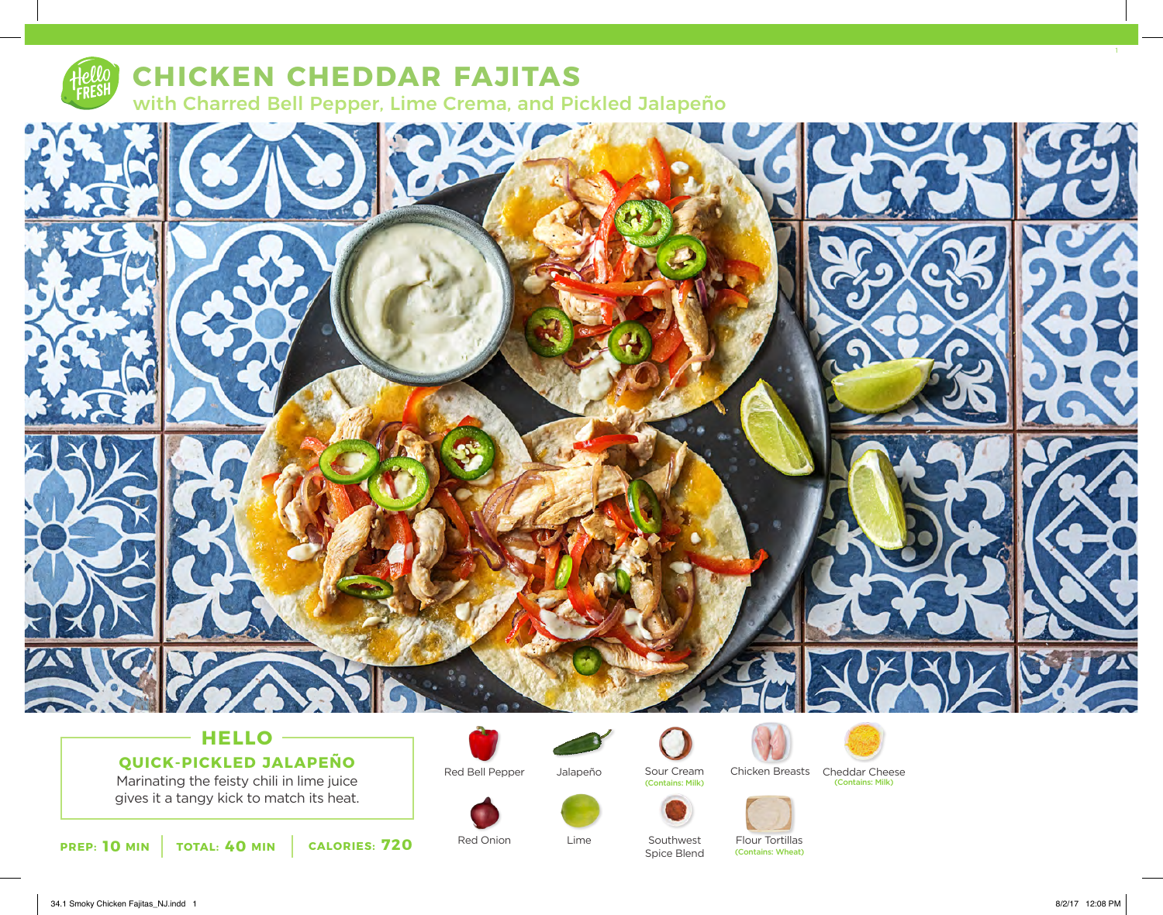

## **CHICKEN CHEDDAR FAJITAS** with Charred Bell Pepper, Lime Crema, and Pickled Jalapeño



# **QUICK-PICKLED JALAPEÑO**

Marinating the feisty chili in lime juice gives it a tangy kick to match its heat.







Red Onion Lime Southwest

Lime

(Contains: Milk) (Contains: Milk)





Spice Blend

Flour Tortillas<br>(Contains: Wheat)

Sour Cream Chicken Breasts Cheddar Cheese<br>
Contains: Milk) (Contains: Milk)



34.1 Smoky Chicken Fajitas\_NJ.indd 1 8/2/17 12:08 PM